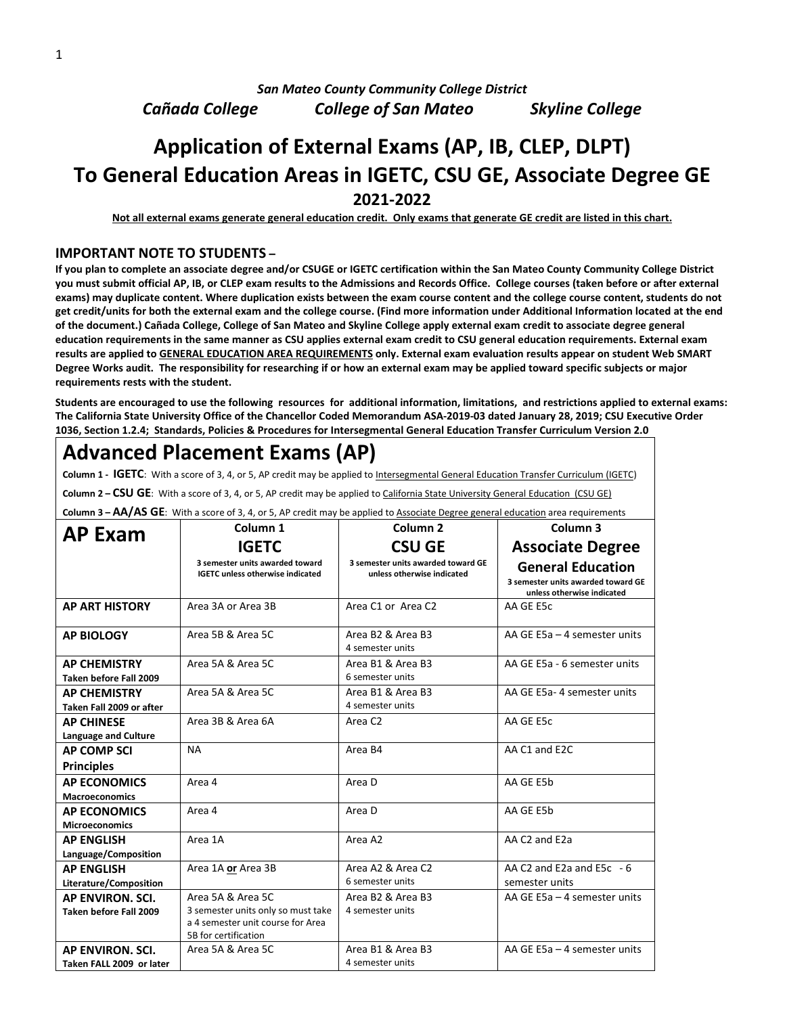*San Mateo County Community College District*

*Cañada College College of San Mateo Skyline College*

### **Application of External Exams (AP, IB, CLEP, DLPT) To General Education Areas in IGETC, CSU GE, Associate Degree GE 2021-2022**

**Not all external exams generate general education credit. Only exams that generate GE credit are listed in this chart.**

#### **IMPORTANT NOTE TO STUDENTS –**

**If you plan to complete an associate degree and/or CSUGE or IGETC certification within the San Mateo County Community College District you must submit official AP, IB, or CLEP exam results to the Admissions and Records Office. College courses (taken before or after external exams) may duplicate content. Where duplication exists between the exam course content and the college course content, students do not get credit/units for both the external exam and the college course. (Find more information under Additional Information located at the end of the document.) Cañada College, College of San Mateo and Skyline College apply external exam credit to associate degree general education requirements in the same manner as CSU applies external exam credit to CSU general education requirements. External exam results are applied to GENERAL EDUCATION AREA REQUIREMENTS only. External exam evaluation results appear on student Web SMART Degree Works audit. The responsibility for researching if or how an external exam may be applied toward specific subjects or major requirements rests with the student.**

**Students are encouraged to use the following resources for additional information, limitations, and restrictions applied to external exams: The California State University Office of the Chancellor Coded Memorandum ASA-2019-03 dated January 28, 2019; CSU Executive Order 1036, Section 1.2.4; Standards, Policies & Procedures for Intersegmental General Education Transfer Curriculum Version 2.0**

## **Advanced Placement Exams (AP)**

Column 1 - IGETC: With a score of 3, 4, or 5, AP credit may be applied to Intersegmental General Education Transfer Curriculum (IGETC)

**Column 2 – CSU GE**: With a score of 3, 4, or 5, AP credit may be applied to California State University General Education (CSU GE)

**Column 3 – AA/AS GE**: With a score of 3, 4, or 5, AP credit may be applied to Associate Degree general education area requirements

| Column 3 Cary A3 OL. With a score or 3, 4, 01 3, AT create may be applied to <u>Associate begree general education</u> area requirements<br>Column <sub>1</sub><br>Column <sub>2</sub> |                                                                                                                      |                                                                  | Column <sub>3</sub>                                                                          |
|----------------------------------------------------------------------------------------------------------------------------------------------------------------------------------------|----------------------------------------------------------------------------------------------------------------------|------------------------------------------------------------------|----------------------------------------------------------------------------------------------|
| <b>AP Exam</b>                                                                                                                                                                         |                                                                                                                      |                                                                  |                                                                                              |
|                                                                                                                                                                                        | <b>IGETC</b>                                                                                                         | <b>CSU GE</b>                                                    | <b>Associate Degree</b>                                                                      |
|                                                                                                                                                                                        | 3 semester units awarded toward<br><b>IGETC unless otherwise indicated</b>                                           | 3 semester units awarded toward GE<br>unless otherwise indicated | <b>General Education</b><br>3 semester units awarded toward GE<br>unless otherwise indicated |
| <b>AP ART HISTORY</b>                                                                                                                                                                  | Area 3A or Area 3B                                                                                                   | Area C1 or Area C2                                               | AA GE E5c                                                                                    |
| <b>AP BIOLOGY</b>                                                                                                                                                                      | Area 5B & Area 5C                                                                                                    | Area B <sub>2</sub> & Area B <sub>3</sub><br>4 semester units    | AA GE E5a - 4 semester units                                                                 |
| <b>AP CHEMISTRY</b><br>Taken before Fall 2009                                                                                                                                          | Area 5A & Area 5C                                                                                                    | Area B1 & Area B3<br>6 semester units                            | AA GE E5a - 6 semester units                                                                 |
| <b>AP CHEMISTRY</b><br>Taken Fall 2009 or after                                                                                                                                        | Area 5A & Area 5C                                                                                                    | Area B1 & Area B3<br>4 semester units                            | AA GE E5a-4 semester units                                                                   |
| <b>AP CHINESE</b><br><b>Language and Culture</b>                                                                                                                                       | Area 3B & Area 6A                                                                                                    | Area C <sub>2</sub>                                              | AA GE E5c                                                                                    |
| <b>AP COMP SCI</b>                                                                                                                                                                     | <b>NA</b>                                                                                                            | Area B4                                                          | AA C1 and E2C                                                                                |
| <b>Principles</b>                                                                                                                                                                      |                                                                                                                      |                                                                  |                                                                                              |
| <b>AP ECONOMICS</b><br><b>Macroeconomics</b>                                                                                                                                           | Area 4                                                                                                               | Area D                                                           | AA GE E5b                                                                                    |
| <b>AP ECONOMICS</b><br><b>Microeconomics</b>                                                                                                                                           | Area 4                                                                                                               | Area D                                                           | AA GE E5b                                                                                    |
| <b>AP ENGLISH</b><br>Language/Composition                                                                                                                                              | Area 1A                                                                                                              | Area A2                                                          | AA C2 and E2a                                                                                |
| <b>AP ENGLISH</b><br>Literature/Composition                                                                                                                                            | Area 1A or Area 3B                                                                                                   | Area A2 & Area C2<br>6 semester units                            | AA C <sub>2</sub> and E <sub>2a</sub> and E <sub>5</sub> c $-6$<br>semester units            |
| AP ENVIRON, SCI.<br>Taken before Fall 2009                                                                                                                                             | Area 5A & Area 5C<br>3 semester units only so must take<br>a 4 semester unit course for Area<br>5B for certification | Area B <sub>2</sub> & Area B <sub>3</sub><br>4 semester units    | AA GE E5a - 4 semester units                                                                 |
| <b>AP ENVIRON, SCI.</b><br>Taken FALL 2009 or later                                                                                                                                    | Area 5A & Area 5C                                                                                                    | Area B1 & Area B3<br>4 semester units                            | AA GE E5a - 4 semester units                                                                 |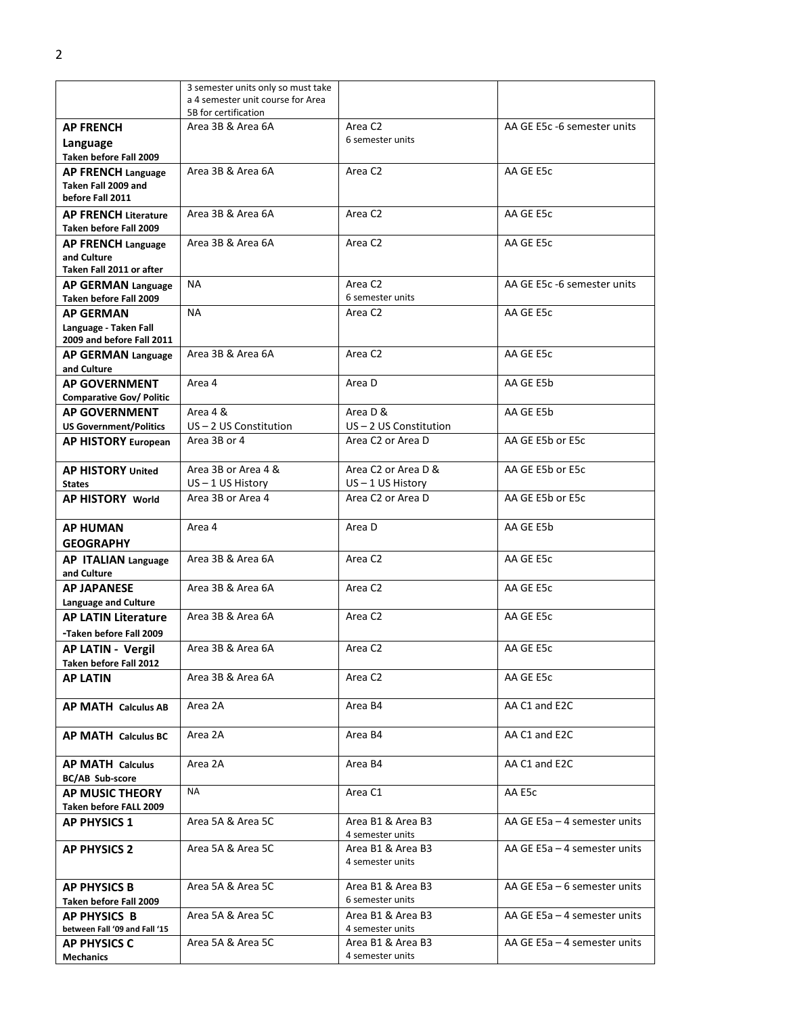|                                                                        | 3 semester units only so must take<br>a 4 semester unit course for Area |                                          |                                 |
|------------------------------------------------------------------------|-------------------------------------------------------------------------|------------------------------------------|---------------------------------|
|                                                                        | 5B for certification                                                    |                                          |                                 |
| <b>AP FRENCH</b>                                                       | Area 3B & Area 6A                                                       | Area C <sub>2</sub>                      | AA GE E5c -6 semester units     |
| Language<br>Taken before Fall 2009                                     |                                                                         | 6 semester units                         |                                 |
| <b>AP FRENCH Language</b>                                              | Area 3B & Area 6A                                                       | Area C <sub>2</sub>                      | AA GE E5c                       |
| Taken Fall 2009 and<br>before Fall 2011                                |                                                                         |                                          |                                 |
| <b>AP FRENCH Literature</b><br>Taken before Fall 2009                  | Area 3B & Area 6A                                                       | Area C <sub>2</sub>                      | AA GE E5c                       |
| <b>AP FRENCH Language</b>                                              | Area 3B & Area 6A                                                       | Area C <sub>2</sub>                      | AA GE E5c                       |
| and Culture<br>Taken Fall 2011 or after                                |                                                                         |                                          |                                 |
| AP GERMAN Language<br>Taken before Fall 2009                           | ΝA                                                                      | Area C <sub>2</sub><br>6 semester units  | AA GE E5c -6 semester units     |
| <b>AP GERMAN</b><br>Language - Taken Fall<br>2009 and before Fall 2011 | <b>NA</b>                                                               | Area C <sub>2</sub>                      | AA GE E5c                       |
| <b>AP GERMAN Language</b><br>and Culture                               | Area 3B & Area 6A                                                       | Area C <sub>2</sub>                      | AA GE E5c                       |
| <b>AP GOVERNMENT</b><br><b>Comparative Gov/ Politic</b>                | Area 4                                                                  | Area D                                   | AA GE E5b                       |
| <b>AP GOVERNMENT</b>                                                   | Area 4 &                                                                | Area D &                                 | AA GE E5b                       |
| <b>US Government/Politics</b>                                          | $US - 2 US$ Constitution                                                | $US - 2 US$ Constitution                 |                                 |
| <b>AP HISTORY European</b>                                             | Area 3B or 4                                                            | Area C2 or Area D                        | AA GE E5b or E5c                |
| <b>AP HISTORY United</b>                                               | Area 3B or Area 4 &                                                     | Area C2 or Area D &                      | AA GE E5b or E5c                |
| <b>States</b><br><b>AP HISTORY World</b>                               | $US - 1 US History$<br>Area 3B or Area 4                                | $US - 1 US History$<br>Area C2 or Area D | AA GE E5b or E5c                |
|                                                                        |                                                                         |                                          |                                 |
| <b>AP HUMAN</b><br><b>GEOGRAPHY</b>                                    | Area 4                                                                  | Area D                                   | AA GE E5b                       |
| AP ITALIAN Language<br>and Culture                                     | Area 3B & Area 6A                                                       | Area C <sub>2</sub>                      | AA GE E5c                       |
| <b>AP JAPANESE</b><br>Language and Culture                             | Area 3B & Area 6A                                                       | Area C <sub>2</sub>                      | AA GE E5c                       |
| <b>AP LATIN Literature</b>                                             | Area 3B & Area 6A                                                       | Area C <sub>2</sub>                      | AA GE E5c                       |
| -Taken before Fall 2009                                                |                                                                         |                                          |                                 |
| <b>AP LATIN - Vergil</b><br>Taken before Fall 2012                     | Area 3B & Area 6A                                                       | Area C2                                  | AA GE E5c                       |
| <b>AP LATIN</b>                                                        | Area 3B & Area 6A                                                       | Area C2                                  | AA GE E5c                       |
| AP MATH Calculus AB                                                    | Area 2A                                                                 | Area B4                                  | AA C1 and E2C                   |
| <b>AP MATH Calculus BC</b>                                             | Area 2A                                                                 | Area B4                                  | AA C1 and E2C                   |
| <b>AP MATH Calculus</b><br><b>BC/AB Sub-score</b>                      | Area 2A                                                                 | Area B4                                  | AA C1 and E2C                   |
| AP MUSIC THEORY<br>Taken before FALL 2009                              | NA                                                                      | Area C1                                  | AA E5c                          |
| <b>AP PHYSICS 1</b>                                                    | Area 5A & Area 5C                                                       | Area B1 & Area B3<br>4 semester units    | AA GE E5a - 4 semester units    |
| <b>AP PHYSICS 2</b>                                                    | Area 5A & Area 5C                                                       | Area B1 & Area B3<br>4 semester units    | AA GE $E5a - 4$ semester units  |
| <b>AP PHYSICS B</b><br>Taken before Fall 2009                          | Area 5A & Area 5C                                                       | Area B1 & Area B3<br>6 semester units    | AA GE E5a - 6 semester units    |
| <b>AP PHYSICS B</b><br>between Fall '09 and Fall '15                   | Area 5A & Area 5C                                                       | Area B1 & Area B3<br>4 semester units    | AA GE E5a – 4 semester units    |
| <b>AP PHYSICS C</b><br><b>Mechanics</b>                                | Area 5A & Area 5C                                                       | Area B1 & Area B3<br>4 semester units    | AA GE $E$ 5a – 4 semester units |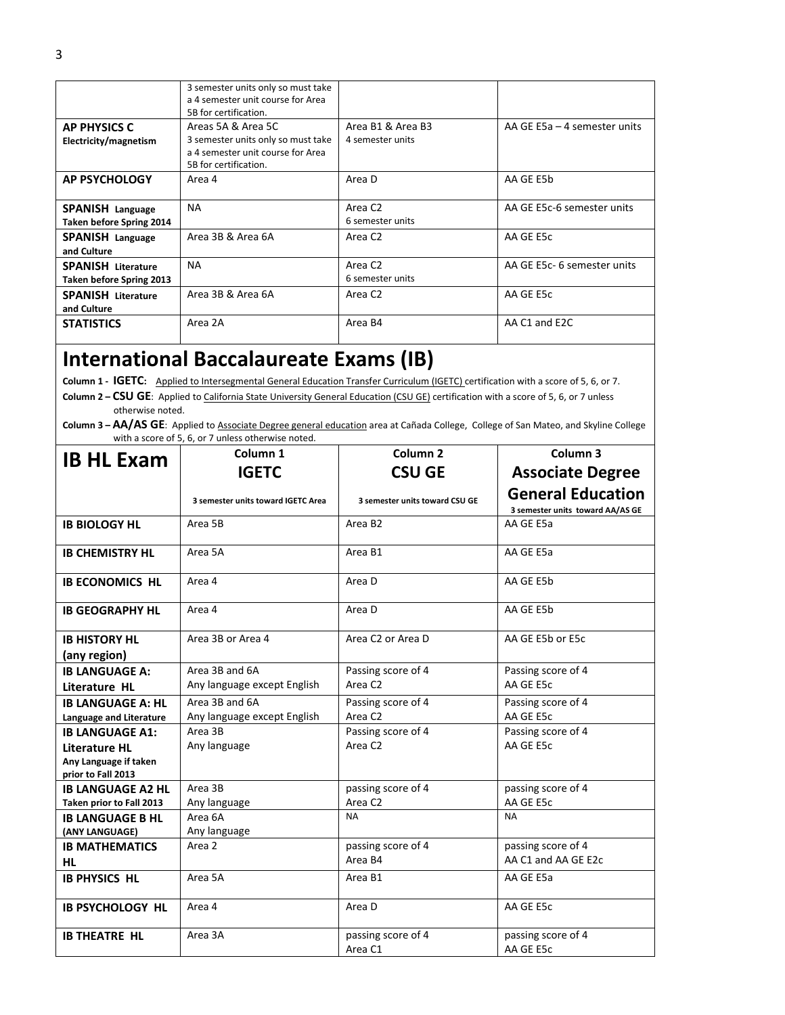|                                                              | 3 semester units only so must take<br>a 4 semester unit course for Area<br>5B for certification.                       |                                         |                                 |
|--------------------------------------------------------------|------------------------------------------------------------------------------------------------------------------------|-----------------------------------------|---------------------------------|
| <b>AP PHYSICS C</b><br>Electricity/magnetism                 | Areas 5A & Area 5C<br>3 semester units only so must take<br>a 4 semester unit course for Area<br>5B for certification. | Area B1 & Area B3<br>4 semester units   | AA GE $E$ 5a – 4 semester units |
| <b>AP PSYCHOLOGY</b>                                         | Area 4                                                                                                                 | Area D                                  | AA GE E5b                       |
| SPANISH Language<br>Taken before Spring 2014                 | <b>NA</b>                                                                                                              | Area C <sub>2</sub><br>6 semester units | AA GE E5c-6 semester units      |
| <b>SPANISH Language</b><br>and Culture                       | Area 3B & Area 6A                                                                                                      | Area C <sub>2</sub>                     | AA GE E5c                       |
| <b>SPANISH Literature</b><br><b>Taken before Spring 2013</b> | <b>NA</b>                                                                                                              | Area C <sub>2</sub><br>6 semester units | AA GE E5c- 6 semester units     |
| <b>SPANISH Literature</b><br>and Culture                     | Area 3B & Area 6A                                                                                                      | Area C <sub>2</sub>                     | AA GE E5c                       |
| <b>STATISTICS</b>                                            | Area 2A                                                                                                                | Area B4                                 | AA C1 and E2C                   |

# **International Baccalaureate Exams (IB)**

**Column 1 - IGETC:** Applied to Intersegmental General Education Transfer Curriculum (IGETC) certification with a score of 5, 6, or 7.

**Column 2 – CSU GE**: Applied to California State University General Education (CSU GE) certification with a score of 5, 6, or 7 unless otherwise noted.

**Column 3 – AA/AS GE**: Applied to Associate Degree general education area at Cañada College, College of San Mateo, and Skyline College with a score of 5, 6, or 7 unless otherwise noted.

| <b>IB HL Exam</b>                                   | Column <sub>1</sub>                           | Column <sub>2</sub>                       | Column 3                                                     |
|-----------------------------------------------------|-----------------------------------------------|-------------------------------------------|--------------------------------------------------------------|
|                                                     | <b>IGETC</b>                                  | <b>CSU GE</b>                             | <b>Associate Degree</b>                                      |
|                                                     | 3 semester units toward IGETC Area            | 3 semester units toward CSU GE            | <b>General Education</b><br>3 semester units toward AA/AS GE |
| <b>IB BIOLOGY HL</b>                                | Area 5B                                       | Area B <sub>2</sub>                       | AA GE E5a                                                    |
| <b>IB CHEMISTRY HL</b>                              | Area 5A                                       | Area B1                                   | AA GE E5a                                                    |
| <b>IB ECONOMICS HL</b>                              | Area 4                                        | Area D                                    | AA GE E5b                                                    |
| <b>IB GEOGRAPHY HL</b>                              | Area 4                                        | Area D                                    | AA GE E5b                                                    |
| <b>IB HISTORY HL</b><br>(any region)                | Area 3B or Area 4                             | Area C <sub>2</sub> or Area D             | AA GE E5b or E5c                                             |
| <b>IB LANGUAGE A:</b>                               | Area 3B and 6A                                | Passing score of 4                        | Passing score of 4                                           |
| Literature HL                                       | Any language except English                   | Area C <sub>2</sub>                       | AA GE E5c                                                    |
| <b>IB LANGUAGE A: HL</b><br>Language and Literature | Area 3B and 6A<br>Any language except English | Passing score of 4<br>Area C <sub>2</sub> | Passing score of 4<br>AA GE E5c                              |
| <b>IB LANGUAGE A1:</b>                              | Area 3B                                       | Passing score of 4                        | Passing score of 4                                           |
| <b>Literature HL</b>                                | Any language                                  | Area C <sub>2</sub>                       | AA GE E5c                                                    |
| Any Language if taken<br>prior to Fall 2013         |                                               |                                           |                                                              |
| <b>IB LANGUAGE A2 HL</b>                            | Area 3B                                       | passing score of 4                        | passing score of 4                                           |
| Taken prior to Fall 2013                            | Any language                                  | Area C <sub>2</sub>                       | AA GE E5c                                                    |
| <b>IB LANGUAGE B HL</b><br>(ANY LANGUAGE)           | Area 6A<br>Any language                       | <b>NA</b>                                 | <b>NA</b>                                                    |
| <b>IB MATHEMATICS</b><br>HL                         | Area 2                                        | passing score of 4<br>Area B4             | passing score of 4<br>AA C1 and AA GE E2c                    |
| <b>IB PHYSICS HL</b>                                | Area 5A                                       | Area B1                                   | AA GE E5a                                                    |
| <b>IB PSYCHOLOGY HL</b>                             | Area 4                                        | Area D                                    | AA GE E5c                                                    |
| <b>IB THEATRE HL</b>                                | Area 3A                                       | passing score of 4<br>Area C1             | passing score of 4<br>AA GE E5c                              |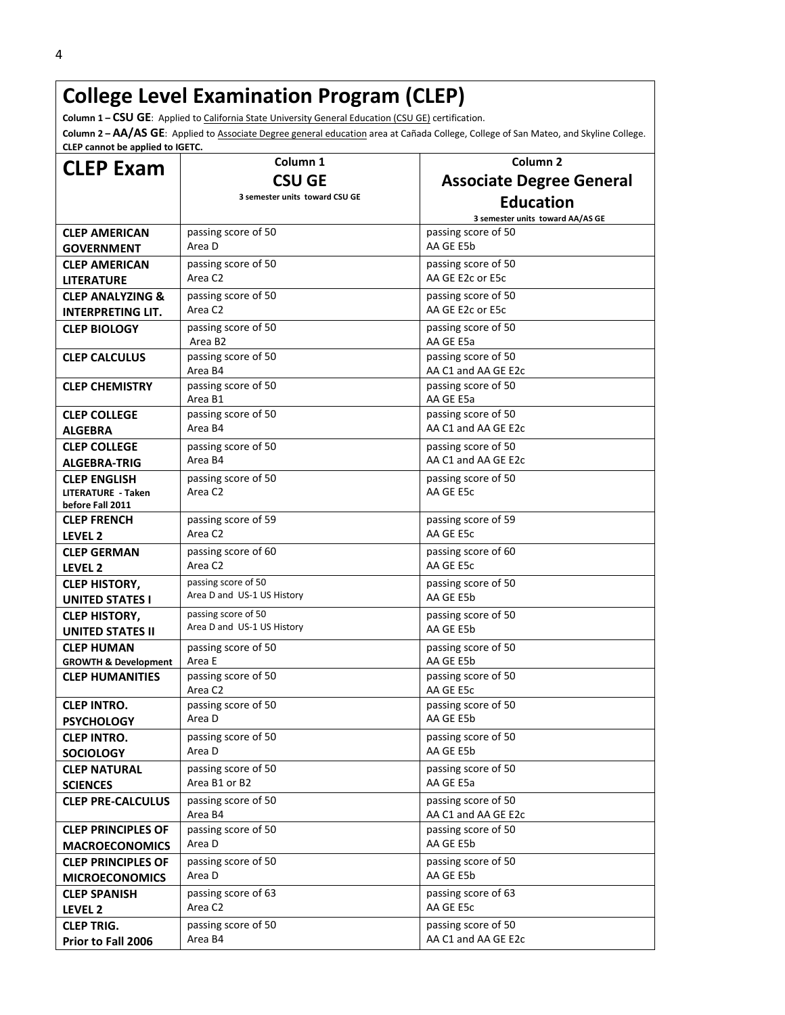# **College Level Examination Program (CLEP)**

**Column 1 – CSU GE**: Applied to California State University General Education (CSU GE) certification.

**Column 2 – AA/AS GE**: Applied to Associate Degree general education area at Cañada College, College of San Mateo, and Skyline College. **CLEP cannot be applied to IGETC.**

| <b>CLEP Exam</b>                                          | Column <sub>1</sub>            | Column <sub>2</sub>                        |
|-----------------------------------------------------------|--------------------------------|--------------------------------------------|
|                                                           | <b>CSU GE</b>                  | <b>Associate Degree General</b>            |
|                                                           | 3 semester units toward CSU GE | <b>Education</b>                           |
|                                                           |                                | 3 semester units toward AA/AS GE           |
| <b>CLEP AMERICAN</b>                                      | passing score of 50            | passing score of 50                        |
| <b>GOVERNMENT</b>                                         | Area D                         | AA GE E5b                                  |
| <b>CLEP AMERICAN</b>                                      | passing score of 50            | passing score of 50                        |
| <b>LITERATURE</b>                                         | Area C <sub>2</sub>            | AA GE E2c or E5c                           |
| <b>CLEP ANALYZING &amp;</b>                               | passing score of 50            | passing score of 50                        |
| <b>INTERPRETING LIT.</b>                                  | Area C2                        | AA GE E2c or E5c                           |
| <b>CLEP BIOLOGY</b>                                       | passing score of 50<br>Area B2 | passing score of 50<br>AA GE E5a           |
| <b>CLEP CALCULUS</b>                                      | passing score of 50<br>Area B4 | passing score of 50<br>AA C1 and AA GE E2c |
| <b>CLEP CHEMISTRY</b>                                     | passing score of 50<br>Area B1 | passing score of 50<br>AA GE E5a           |
| <b>CLEP COLLEGE</b>                                       | passing score of 50            | passing score of 50                        |
| <b>ALGEBRA</b>                                            | Area B4                        | AA C1 and AA GE E2c                        |
| <b>CLEP COLLEGE</b>                                       | passing score of 50            | passing score of 50                        |
| <b>ALGEBRA-TRIG</b>                                       | Area B4                        | AA C1 and AA GE E2c                        |
| <b>CLEP ENGLISH</b>                                       | passing score of 50            | passing score of 50                        |
| <b>LITERATURE - Taken</b><br>before Fall 2011             | Area C <sub>2</sub>            | AA GE E5c                                  |
| <b>CLEP FRENCH</b>                                        | passing score of 59            | passing score of 59                        |
| LEVEL <sub>2</sub>                                        | Area C <sub>2</sub>            | AA GE E5c                                  |
| <b>CLEP GERMAN</b>                                        | passing score of 60            | passing score of 60                        |
| LEVEL <sub>2</sub>                                        | Area C2                        | AA GE E5c                                  |
| <b>CLEP HISTORY,</b>                                      | passing score of 50            | passing score of 50                        |
| <b>UNITED STATES I</b>                                    | Area D and US-1 US History     | AA GE E5b                                  |
| <b>CLEP HISTORY,</b>                                      | passing score of 50            | passing score of 50                        |
| <b>UNITED STATES II</b>                                   | Area D and US-1 US History     | AA GE E5b                                  |
| <b>CLEP HUMAN</b>                                         | passing score of 50            | passing score of 50                        |
| <b>GROWTH &amp; Development</b><br><b>CLEP HUMANITIES</b> | Area E<br>passing score of 50  | AA GE E5b<br>passing score of 50           |
|                                                           | Area C2                        | AA GE E5c                                  |
| <b>CLEP INTRO.</b>                                        | passing score of 50            | passing score of 50                        |
| <b>PSYCHOLOGY</b>                                         | Area D                         | AA GE E5b                                  |
| <b>CLEP INTRO.</b>                                        | passing score of 50            | passing score of 50                        |
| <b>SOCIOLOGY</b>                                          | Area D                         | AA GE E5b                                  |
| <b>CLEP NATURAL</b>                                       | passing score of 50            | passing score of 50                        |
| <b>SCIENCES</b>                                           | Area B1 or B2                  | AA GE E5a                                  |
| <b>CLEP PRE-CALCULUS</b>                                  | passing score of 50<br>Area B4 | passing score of 50<br>AA C1 and AA GE E2c |
| <b>CLEP PRINCIPLES OF</b>                                 | passing score of 50            | passing score of 50                        |
| <b>MACROECONOMICS</b>                                     | Area D                         | AA GE E5b                                  |
| <b>CLEP PRINCIPLES OF</b>                                 | passing score of 50            | passing score of 50                        |
| <b>MICROECONOMICS</b>                                     | Area D                         | AA GE E5b                                  |
| <b>CLEP SPANISH</b>                                       | passing score of 63<br>Area C2 | passing score of 63<br>AA GE E5c           |
| LEVEL 2                                                   |                                |                                            |
| <b>CLEP TRIG.</b>                                         | passing score of 50<br>Area B4 | passing score of 50<br>AA C1 and AA GE E2c |
| Prior to Fall 2006                                        |                                |                                            |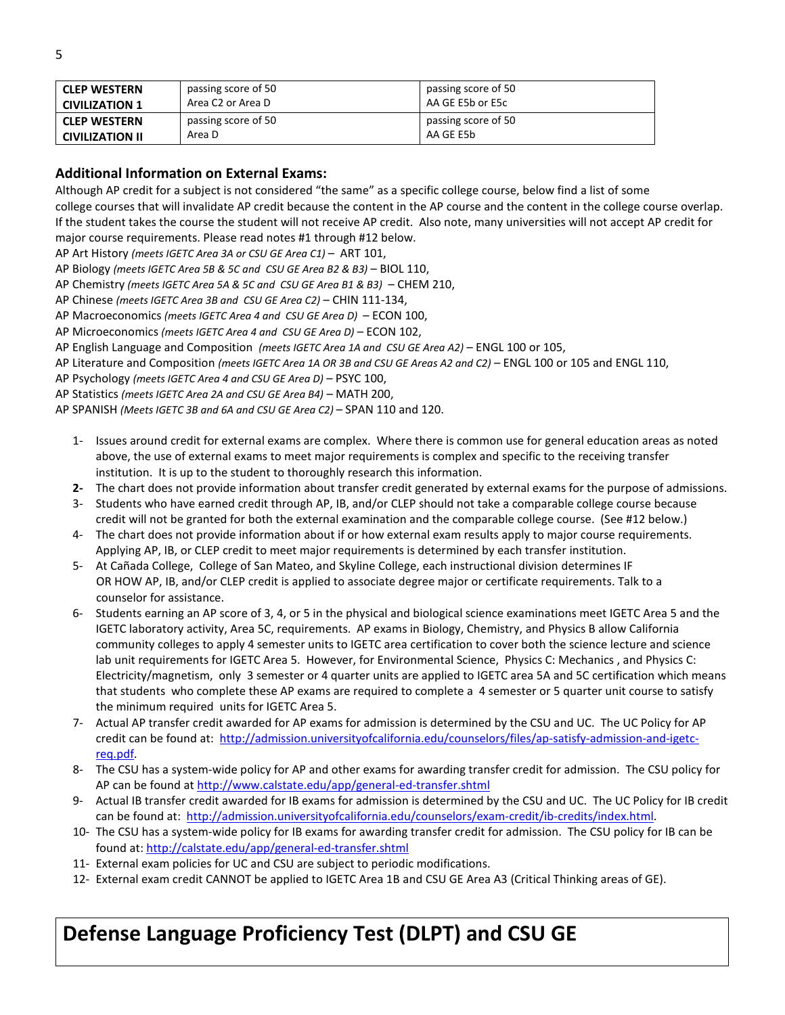| <b>CLEP WESTERN</b>    | passing score of 50 | passing score of 50 |
|------------------------|---------------------|---------------------|
| <b>CIVILIZATION 1</b>  | Area C2 or Area D   | AA GE E5b or E5c    |
| <b>CLEP WESTERN</b>    | passing score of 50 | passing score of 50 |
| <b>CIVILIZATION II</b> | Area D              | AA GE E5b           |

#### **Additional Information on External Exams:**

Although AP credit for a subject is not considered "the same" as a specific college course, below find a list of some college courses that will invalidate AP credit because the content in the AP course and the content in the college course overlap. If the student takes the course the student will not receive AP credit. Also note, many universities will not accept AP credit for major course requirements. Please read notes #1 through #12 below.

AP Art History *(meets IGETC Area 3A or CSU GE Area C1)* – ART 101,

- AP Biology *(meets IGETC Area 5B & 5C and CSU GE Area B2 & B3)* BIOL 110,
- AP Chemistry *(meets IGETC Area 5A & 5C and CSU GE Area B1 & B3)* CHEM 210,
- AP Chinese *(meets IGETC Area 3B and CSU GE Area C2)* CHIN 111-134,
- AP Macroeconomics *(meets IGETC Area 4 and CSU GE Area D)*  ECON 100,
- AP Microeconomics *(meets IGETC Area 4 and CSU GE Area D)* ECON 102,
- AP English Language and Composition *(meets IGETC Area 1A and CSU GE Area A2)* ENGL 100 or 105,
- AP Literature and Composition *(meets IGETC Area 1A OR 3B and CSU GE Areas A2 and C2)* ENGL 100 or 105 and ENGL 110,

AP Psychology *(meets IGETC Area 4 and CSU GE Area D)* – PSYC 100,

AP Statistics *(meets IGETC Area 2A and CSU GE Area B4)* – MATH 200,

AP SPANISH *(Meets IGETC 3B and 6A and CSU GE Area C2)* – SPAN 110 and 120.

- 1- Issues around credit for external exams are complex. Where there is common use for general education areas as noted above, the use of external exams to meet major requirements is complex and specific to the receiving transfer institution. It is up to the student to thoroughly research this information.
- **2-** The chart does not provide information about transfer credit generated by external exams for the purpose of admissions.
- 3- Students who have earned credit through AP, IB, and/or CLEP should not take a comparable college course because credit will not be granted for both the external examination and the comparable college course. (See #12 below.)
- 4- The chart does not provide information about if or how external exam results apply to major course requirements. Applying AP, IB, or CLEP credit to meet major requirements is determined by each transfer institution.
- 5- At Cañada College, College of San Mateo, and Skyline College, each instructional division determines IF OR HOW AP, IB, and/or CLEP credit is applied to associate degree major or certificate requirements. Talk to a counselor for assistance.
- 6- Students earning an AP score of 3, 4, or 5 in the physical and biological science examinations meet IGETC Area 5 and the IGETC laboratory activity, Area 5C, requirements. AP exams in Biology, Chemistry, and Physics B allow California community colleges to apply 4 semester units to IGETC area certification to cover both the science lecture and science lab unit requirements for IGETC Area 5. However, for Environmental Science, Physics C: Mechanics , and Physics C: Electricity/magnetism, only 3 semester or 4 quarter units are applied to IGETC area 5A and 5C certification which means that students who complete these AP exams are required to complete a 4 semester or 5 quarter unit course to satisfy the minimum required units for IGETC Area 5.
- 7- Actual AP transfer credit awarded for AP exams for admission is determined by the CSU and UC. The UC Policy for AP credit can be found at: [http://admission.universityofcalifornia.edu/counselors/files/ap-satisfy-admission-and-igetc](http://admission.universityofcalifornia.edu/counselors/files/ap-satisfy-admission-and-igetc-req.pdf)[req.pdf.](http://admission.universityofcalifornia.edu/counselors/files/ap-satisfy-admission-and-igetc-req.pdf)
- 8- The CSU has a system-wide policy for AP and other exams for awarding transfer credit for admission. The CSU policy for AP can be found a[t http://www.calstate.edu/app/general-ed-transfer.shtml](http://www.calstate.edu/app/general-ed-transfer.shtml)
- 9- Actual IB transfer credit awarded for IB exams for admission is determined by the CSU and UC. The UC Policy for IB credit can be found at: [http://admission.universityofcalifornia.edu/counselors/exam-credit/ib-credits/index.html.](http://admission.universityofcalifornia.edu/counselors/exam-credit/ib-credits/index.html)
- 10- The CSU has a system-wide policy for IB exams for awarding transfer credit for admission. The CSU policy for IB can be found at:<http://calstate.edu/app/general-ed-transfer.shtml>
- 11- External exam policies for UC and CSU are subject to periodic modifications.
- 12- External exam credit CANNOT be applied to IGETC Area 1B and CSU GE Area A3 (Critical Thinking areas of GE).

### **Defense Language Proficiency Test (DLPT) and CSU GE**